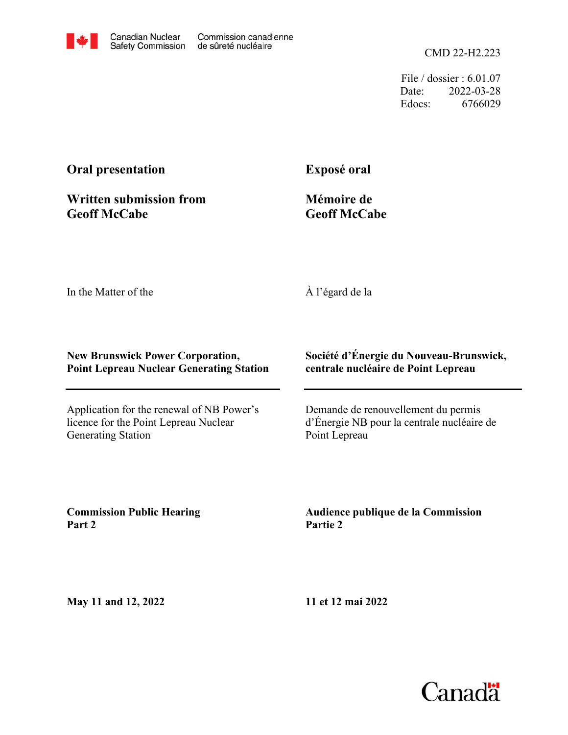

CMD 22-H2.223

File / dossier : 6.01.07 Date: 2022-03-28 Edocs: 6766029

## **Oral presentation**

**Exposé oral**

**Written submission from Geoff McCabe**

**Mémoire de Geoff McCabe**

In the Matter of the

À l'égard de la

## **New Brunswick Power Corporation, Point Lepreau Nuclear Generating Station**

Application for the renewal of NB Power's licence for the Point Lepreau Nuclear Generating Station

## **Société d'Énergie du Nouveau-Brunswick, centrale nucléaire de Point Lepreau**

Demande de renouvellement du permis d'Énergie NB pour la centrale nucléaire de Point Lepreau

**Commission Public Hearing Part 2**

**Audience publique de la Commission Partie 2**

**May 11 and 12, 2022**

**11 et 12 mai 2022**